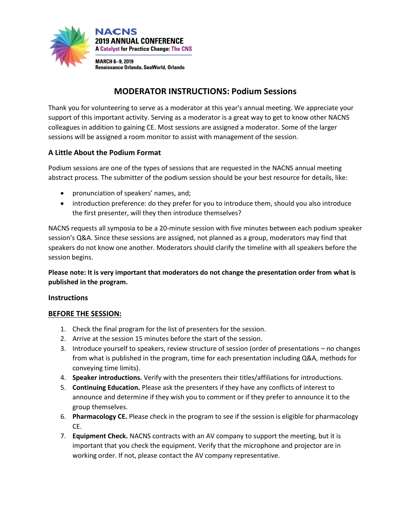

# **MODERATOR INSTRUCTIONS: Podium Sessions**

Thank you for volunteering to serve as a moderator at this year's annual meeting. We appreciate your support of this important activity. Serving as a moderator is a great way to get to know other NACNS colleagues in addition to gaining CE. Most sessions are assigned a moderator. Some of the larger sessions will be assigned a room monitor to assist with management of the session.

### **A Little About the Podium Format**

Podium sessions are one of the types of sessions that are requested in the NACNS annual meeting abstract process. The submitter of the podium session should be your best resource for details, like:

- pronunciation of speakers' names, and;
- introduction preference: do they prefer for you to introduce them, should you also introduce the first presenter, will they then introduce themselves?

NACNS requests all symposia to be a 20-minute session with five minutes between each podium speaker session's Q&A. Since these sessions are assigned, not planned as a group, moderators may find that speakers do not know one another. Moderators should clarify the timeline with all speakers before the session begins.

**Please note: It is very important that moderators do not change the presentation order from what is published in the program.** 

### **Instructions**

### **BEFORE THE SESSION:**

- 1. Check the final program for the list of presenters for the session.
- 2. Arrive at the session 15 minutes before the start of the session.
- 3. Introduce yourself to speakers, review structure of session (order of presentations no changes from what is published in the program, time for each presentation including Q&A, methods for conveying time limits).
- 4. **Speaker introductions.** Verify with the presenters their titles/affiliations for introductions.
- 5. **Continuing Education.** Please ask the presenters if they have any conflicts of interest to announce and determine if they wish you to comment or if they prefer to announce it to the group themselves.
- 6. **Pharmacology CE.** Please check in the program to see if the session is eligible for pharmacology CE.
- 7. **Equipment Check.** NACNS contracts with an AV company to support the meeting, but it is important that you check the equipment. Verify that the microphone and projector are in working order. If not, please contact the AV company representative.